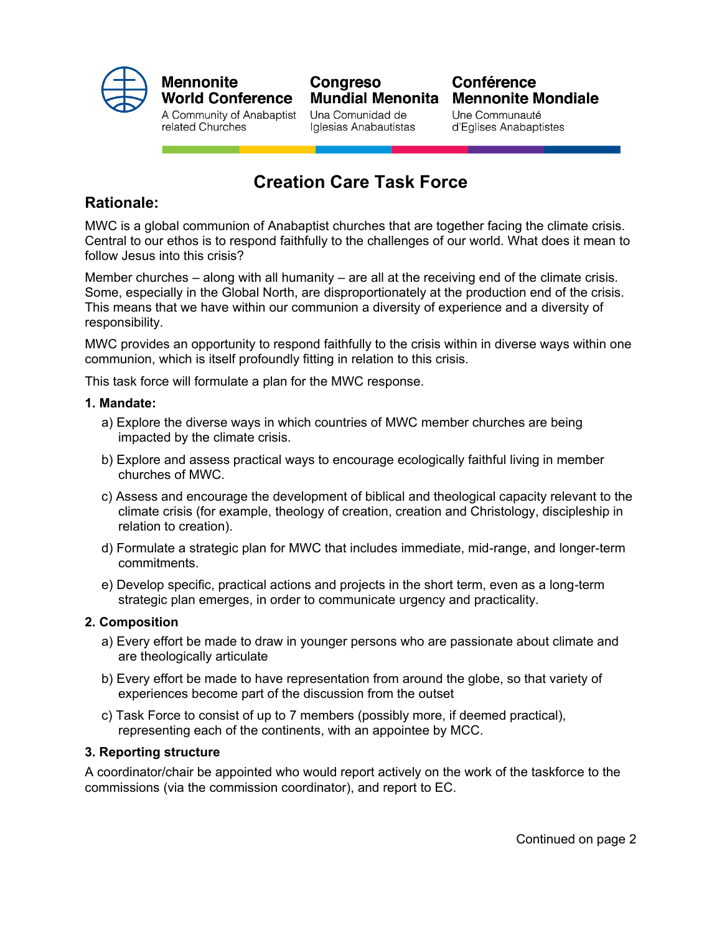

### **Mennonite World Conference**

A Community of Anabaptist related Churches

## Congreso **Mundial Menonita**

Una Comunidad de Iglesias Anabautistas

### **Conférence Mennonite Mondiale**

Une Communauté d'Eglises Anabaptistes

# **Creation Care Task Force**

### **Rationale:**

MWC is a global communion of Anabaptist churches that are together facing the climate crisis. Central to our ethos is to respond faithfully to the challenges of our world. What does it mean to follow Jesus into this crisis?

Member churches – along with all humanity – are all at the receiving end of the climate crisis. Some, especially in the Global North, are disproportionately at the production end of the crisis. This means that we have within our communion a diversity of experience and a diversity of responsibility.

MWC provides an opportunity to respond faithfully to the crisis within in diverse ways within one communion, which is itself profoundly fitting in relation to this crisis.

This task force will formulate a plan for the MWC response.

#### **1. Mandate:**

- a) Explore the diverse ways in which countries of MWC member churches are being impacted by the climate crisis.
- b) Explore and assess practical ways to encourage ecologically faithful living in member churches of MWC.
- c) Assess and encourage the development of biblical and theological capacity relevant to the climate crisis (for example, theology of creation, creation and Christology, discipleship in relation to creation).
- d) Formulate a strategic plan for MWC that includes immediate, mid-range, and longer-term commitments.
- e) Develop specific, practical actions and projects in the short term, even as a long-term strategic plan emerges, in order to communicate urgency and practicality.

### **2. Composition**

- a) Every effort be made to draw in younger persons who are passionate about climate and are theologically articulate
- b) Every effort be made to have representation from around the globe, so that variety of experiences become part of the discussion from the outset
- c) Task Force to consist of up to 7 members (possibly more, if deemed practical), representing each of the continents, with an appointee by MCC.

#### **3. Reporting structure**

A coordinator/chair be appointed who would report actively on the work of the taskforce to the commissions (via the commission coordinator), and report to EC.